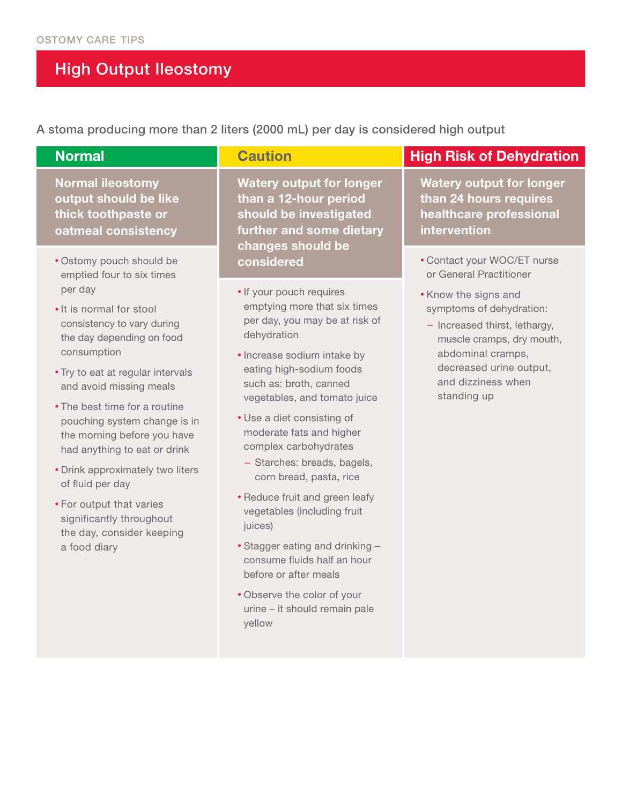## High Output Ileostomy

A stoma producing more than 2 liters (2000 mL) per day is considered high output

| <b>Normal</b>                                                                                                                                                                                                                                                                                                                                                                                                                                                                                                                       | <b>Caution</b>                                                                                                                                                                                                                                                                                                                                                                                                                                                                                                                                                                                                                                        | <b>High Risk of Dehydration</b>                                                                                                                                                                                                                               |  |  |  |
|-------------------------------------------------------------------------------------------------------------------------------------------------------------------------------------------------------------------------------------------------------------------------------------------------------------------------------------------------------------------------------------------------------------------------------------------------------------------------------------------------------------------------------------|-------------------------------------------------------------------------------------------------------------------------------------------------------------------------------------------------------------------------------------------------------------------------------------------------------------------------------------------------------------------------------------------------------------------------------------------------------------------------------------------------------------------------------------------------------------------------------------------------------------------------------------------------------|---------------------------------------------------------------------------------------------------------------------------------------------------------------------------------------------------------------------------------------------------------------|--|--|--|
| <b>Normal ileostomy</b><br>output should be like<br>thick toothpaste or<br>oatmeal consistency                                                                                                                                                                                                                                                                                                                                                                                                                                      | <b>Watery output for longer</b><br>than a 12-hour period<br>should be investigated<br>further and some dietary                                                                                                                                                                                                                                                                                                                                                                                                                                                                                                                                        | <b>Watery output for longer</b><br>than 24 hours requires<br>healthcare professional<br>intervention                                                                                                                                                          |  |  |  |
| · Ostomy pouch should be<br>emptied four to six times<br>per day<br>• It is normal for stool<br>consistency to vary during<br>the day depending on food<br>consumption<br>. Try to eat at regular intervals<br>and avoid missing meals<br>• The best time for a routine<br>pouching system change is in<br>the morning before you have<br>had anything to eat or drink<br>• Drink approximately two liters<br>of fluid per day<br>• For output that varies<br>significantly throughout<br>the day, consider keeping<br>a food diary | changes should be<br>considered<br>• If your pouch requires<br>emptying more that six times<br>per day, you may be at risk of<br>dehydration<br>· Increase sodium intake by<br>eating high-sodium foods<br>such as: broth, canned<br>vegetables, and tomato juice<br>• Use a diet consisting of<br>moderate fats and higher<br>complex carbohydrates<br>- Starches: breads, bagels,<br>corn bread, pasta, rice<br>• Reduce fruit and green leafy<br>vegetables (including fruit<br>juices)<br>• Stagger eating and drinking -<br>consume fluids half an hour<br>before or after meals<br>• Observe the color of your<br>urine - it should remain pale | • Contact your WOC/ET nurse<br>or General Practitioner<br>• Know the signs and<br>symptoms of dehydration:<br>- Increased thirst, lethargy,<br>muscle cramps, dry mouth,<br>abdominal cramps,<br>decreased urine output,<br>and dizziness when<br>standing up |  |  |  |
|                                                                                                                                                                                                                                                                                                                                                                                                                                                                                                                                     | yellow                                                                                                                                                                                                                                                                                                                                                                                                                                                                                                                                                                                                                                                |                                                                                                                                                                                                                                                               |  |  |  |